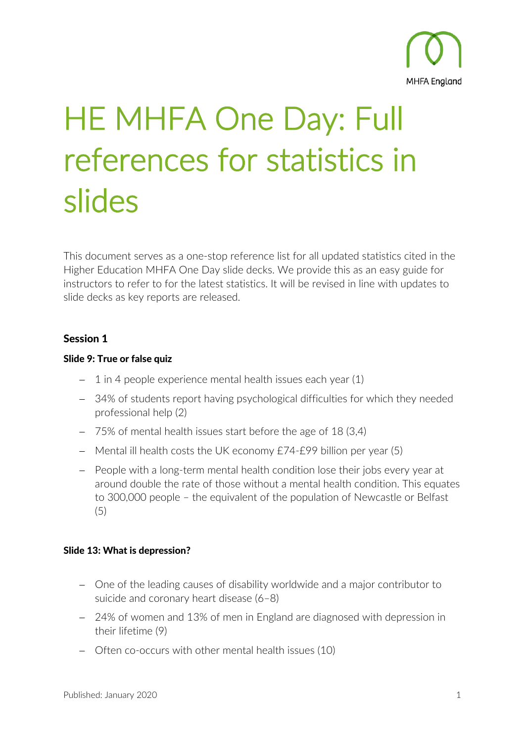

# HE MHFA One Day: Full references for statistics in slides

This document serves as a one-stop reference list for all updated statistics cited in the Higher Education MHFA One Day slide decks. We provide this as an easy guide for instructors to refer to for the latest statistics. It will be revised in line with updates to slide decks as key reports are released.

# Session 1

## Slide 9: True or false quiz

- − 1 in 4 people experience mental health issues each year (1)
- − 34% of students report having psychological difficulties for which they needed professional help (2)
- − 75% of mental health issues start before the age of 18 (3,4)
- − Mental ill health costs the UK economy £74-£99 billion per year (5)
- − People with a long-term mental health condition lose their jobs every year at around double the rate of those without a mental health condition. This equates to 300,000 people – the equivalent of the population of Newcastle or Belfast (5)

## Slide 13: What is depression?

- − One of the leading causes of disability worldwide and a major contributor to suicide and coronary heart disease (6–8)
- − 24% of women and 13% of men in England are diagnosed with depression in their lifetime (9)
- − Often co-occurs with other mental health issues (10)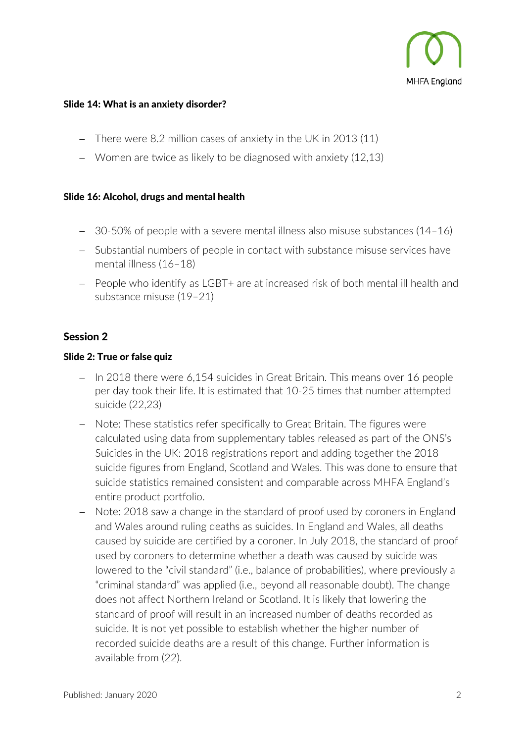

#### Slide 14: What is an anxiety disorder?

- − There were 8.2 million cases of anxiety in the UK in 2013 (11)
- − Women are twice as likely to be diagnosed with anxiety (12,13)

#### Slide 16: Alcohol, drugs and mental health

- − 30-50% of people with a severe mental illness also misuse substances (14–16)
- − Substantial numbers of people in contact with substance misuse services have mental illness (16–18)
- − People who identify as LGBT+ are at increased risk of both mental ill health and substance misuse (19–21)

# Session 2

#### Slide 2: True or false quiz

- − In 2018 there were 6,154 suicides in Great Britain. This means over 16 people per day took their life. It is estimated that 10-25 times that number attempted suicide (22,23)
- − Note: These statistics refer specifically to Great Britain. The figures were calculated using data from supplementary tables released as part of the ONS's Suicides in the UK: 2018 registrations report and adding together the 2018 suicide figures from England, Scotland and Wales. This was done to ensure that suicide statistics remained consistent and comparable across MHFA England's entire product portfolio.
- − Note: 2018 saw a change in the standard of proof used by coroners in England and Wales around ruling deaths as suicides. In England and Wales, all deaths caused by suicide are certified by a coroner. In July 2018, the standard of proof used by coroners to determine whether a death was caused by suicide was lowered to the "civil standard" (i.e., balance of probabilities), where previously a "criminal standard" was applied (i.e., beyond all reasonable doubt). The change does not affect Northern Ireland or Scotland. It is likely that lowering the standard of proof will result in an increased number of deaths recorded as suicide. It is not yet possible to establish whether the higher number of recorded suicide deaths are a result of this change. Further information is available from (22).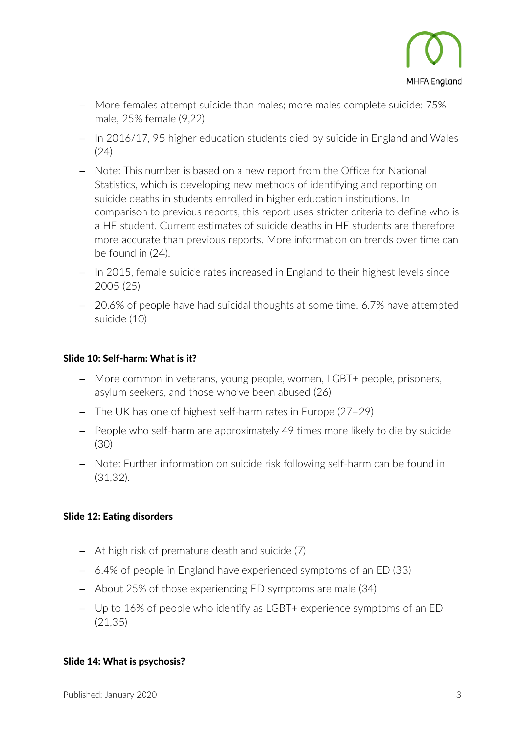

- − More females attempt suicide than males; more males complete suicide: 75% male, 25% female (9,22)
- − In 2016/17, 95 higher education students died by suicide in England and Wales (24)
- − Note: This number is based on a new report from the Office for National Statistics, which is developing new methods of identifying and reporting on suicide deaths in students enrolled in higher education institutions. In comparison to previous reports, this report uses stricter criteria to define who is a HE student. Current estimates of suicide deaths in HE students are therefore more accurate than previous reports. More information on trends over time can be found in (24).
- − In 2015, female suicide rates increased in England to their highest levels since 2005 (25)
- − 20.6% of people have had suicidal thoughts at some time. 6.7% have attempted suicide (10)

#### Slide 10: Self-harm: What is it?

- − More common in veterans, young people, women, LGBT+ people, prisoners, asylum seekers, and those who've been abused (26)
- − The UK has one of highest self-harm rates in Europe (27–29)
- − People who self-harm are approximately 49 times more likely to die by suicide (30)
- − Note: Further information on suicide risk following self-harm can be found in (31,32).

## Slide 12: Eating disorders

- − At high risk of premature death and suicide (7)
- − 6.4% of people in England have experienced symptoms of an ED (33)
- − About 25% of those experiencing ED symptoms are male (34)
- − Up to 16% of people who identify as LGBT+ experience symptoms of an ED (21,35)

#### Slide 14: What is psychosis?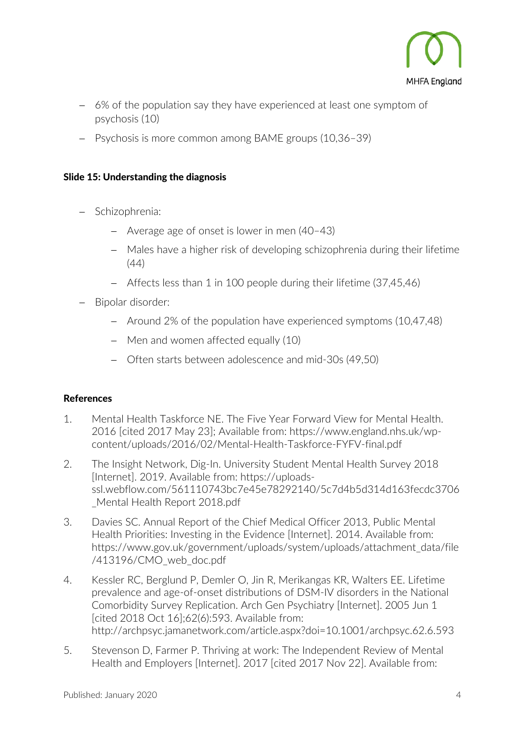

- − 6% of the population say they have experienced at least one symptom of psychosis (10)
- − Psychosis is more common among BAME groups (10,36–39)

## Slide 15: Understanding the diagnosis

- − Schizophrenia:
	- − Average age of onset is lower in men (40–43)
	- − Males have a higher risk of developing schizophrenia during their lifetime (44)
	- − Affects less than 1 in 100 people during their lifetime (37,45,46)
- − Bipolar disorder:
	- − Around 2% of the population have experienced symptoms (10,47,48)
	- − Men and women affected equally (10)
	- − Often starts between adolescence and mid-30s (49,50)

# References

- 1. Mental Health Taskforce NE. The Five Year Forward View for Mental Health. 2016 [cited 2017 May 23]; Available from: https://www.england.nhs.uk/wpcontent/uploads/2016/02/Mental-Health-Taskforce-FYFV-final.pdf
- 2. The Insight Network, Dig-In. University Student Mental Health Survey 2018 [Internet]. 2019. Available from: https://uploadsssl.webflow.com/561110743bc7e45e78292140/5c7d4b5d314d163fecdc3706 \_Mental Health Report 2018.pdf
- 3. Davies SC. Annual Report of the Chief Medical Officer 2013, Public Mental Health Priorities: Investing in the Evidence [Internet]. 2014. Available from: https://www.gov.uk/government/uploads/system/uploads/attachment\_data/file /413196/CMO\_web\_doc.pdf
- 4. Kessler RC, Berglund P, Demler O, Jin R, Merikangas KR, Walters EE. Lifetime prevalence and age-of-onset distributions of DSM-IV disorders in the National Comorbidity Survey Replication. Arch Gen Psychiatry [Internet]. 2005 Jun 1 [cited 2018 Oct 16];62(6):593. Available from: http://archpsyc.jamanetwork.com/article.aspx?doi=10.1001/archpsyc.62.6.593
- 5. Stevenson D, Farmer P. Thriving at work: The Independent Review of Mental Health and Employers [Internet]. 2017 [cited 2017 Nov 22]. Available from: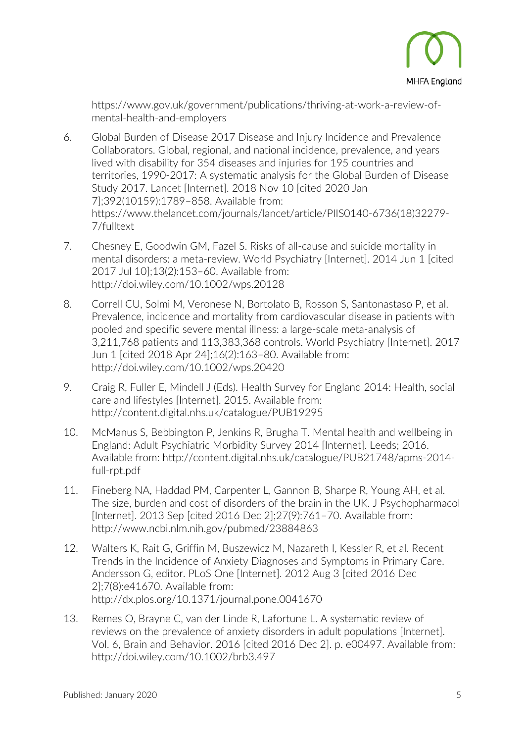

https://www.gov.uk/government/publications/thriving-at-work-a-review-ofmental-health-and-employers

- 6. Global Burden of Disease 2017 Disease and Injury Incidence and Prevalence Collaborators. Global, regional, and national incidence, prevalence, and years lived with disability for 354 diseases and injuries for 195 countries and territories, 1990-2017: A systematic analysis for the Global Burden of Disease Study 2017. Lancet [Internet]. 2018 Nov 10 [cited 2020 Jan 7];392(10159):1789–858. Available from: https://www.thelancet.com/journals/lancet/article/PIIS0140-6736(18)32279- 7/fulltext
- 7. Chesney E, Goodwin GM, Fazel S. Risks of all-cause and suicide mortality in mental disorders: a meta-review. World Psychiatry [Internet]. 2014 Jun 1 [cited 2017 Jul 10];13(2):153–60. Available from: http://doi.wiley.com/10.1002/wps.20128
- 8. Correll CU, Solmi M, Veronese N, Bortolato B, Rosson S, Santonastaso P, et al. Prevalence, incidence and mortality from cardiovascular disease in patients with pooled and specific severe mental illness: a large-scale meta-analysis of 3,211,768 patients and 113,383,368 controls. World Psychiatry [Internet]. 2017 Jun 1 [cited 2018 Apr 24];16(2):163–80. Available from: http://doi.wiley.com/10.1002/wps.20420
- 9. Craig R, Fuller E, Mindell J (Eds). Health Survey for England 2014: Health, social care and lifestyles [Internet]. 2015. Available from: http://content.digital.nhs.uk/catalogue/PUB19295
- 10. McManus S, Bebbington P, Jenkins R, Brugha T. Mental health and wellbeing in England: Adult Psychiatric Morbidity Survey 2014 [Internet]. Leeds; 2016. Available from: http://content.digital.nhs.uk/catalogue/PUB21748/apms-2014 full-rpt.pdf
- 11. Fineberg NA, Haddad PM, Carpenter L, Gannon B, Sharpe R, Young AH, et al. The size, burden and cost of disorders of the brain in the UK. J Psychopharmacol [Internet]. 2013 Sep [cited 2016 Dec 2];27(9):761–70. Available from: http://www.ncbi.nlm.nih.gov/pubmed/23884863
- 12. Walters K, Rait G, Griffin M, Buszewicz M, Nazareth I, Kessler R, et al. Recent Trends in the Incidence of Anxiety Diagnoses and Symptoms in Primary Care. Andersson G, editor. PLoS One [Internet]. 2012 Aug 3 [cited 2016 Dec 2];7(8):e41670. Available from: http://dx.plos.org/10.1371/journal.pone.0041670
- 13. Remes O, Brayne C, van der Linde R, Lafortune L. A systematic review of reviews on the prevalence of anxiety disorders in adult populations [Internet]. Vol. 6, Brain and Behavior. 2016 [cited 2016 Dec 2]. p. e00497. Available from: http://doi.wiley.com/10.1002/brb3.497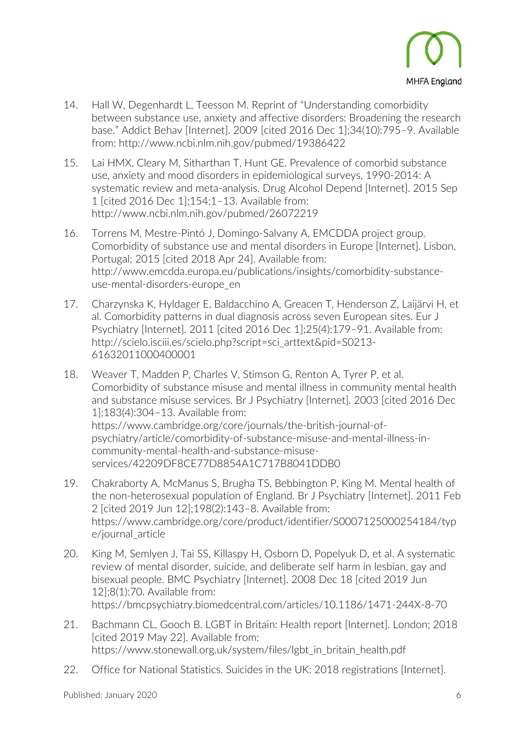

- 14. Hall W, Degenhardt L, Teesson M. Reprint of "Understanding comorbidity between substance use, anxiety and affective disorders: Broadening the research base." Addict Behav [Internet]. 2009 [cited 2016 Dec 1];34(10):795–9. Available from: http://www.ncbi.nlm.nih.gov/pubmed/19386422
- 15. Lai HMX, Cleary M, Sitharthan T, Hunt GE. Prevalence of comorbid substance use, anxiety and mood disorders in epidemiological surveys, 1990-2014: A systematic review and meta-analysis. Drug Alcohol Depend [Internet]. 2015 Sep 1 [cited 2016 Dec 1];154:1–13. Available from: http://www.ncbi.nlm.nih.gov/pubmed/26072219
- 16. Torrens M, Mestre-Pintó J, Domingo-Salvany A, EMCDDA project group. Comorbidity of substance use and mental disorders in Europe [Internet]. Lisbon, Portugal; 2015 [cited 2018 Apr 24]. Available from: http://www.emcdda.europa.eu/publications/insights/comorbidity-substanceuse-mental-disorders-europe\_en
- 17. Charzynska K, Hyldager E, Baldacchino A, Greacen T, Henderson Z, Laijärvi H, et al. Comorbidity patterns in dual diagnosis across seven European sites. Eur J Psychiatry [Internet]. 2011 [cited 2016 Dec 1];25(4):179–91. Available from: http://scielo.isciii.es/scielo.php?script=sci\_arttext&pid=S0213- 61632011000400001
- 18. Weaver T, Madden P, Charles V, Stimson G, Renton A, Tyrer P, et al. Comorbidity of substance misuse and mental illness in community mental health and substance misuse services. Br J Psychiatry [Internet]. 2003 [cited 2016 Dec 1];183(4):304–13. Available from: https://www.cambridge.org/core/journals/the-british-journal-ofpsychiatry/article/comorbidity-of-substance-misuse-and-mental-illness-incommunity-mental-health-and-substance-misuseservices/42209DF8CE77D8854A1C717B8041DDB0
- 19. Chakraborty A, McManus S, Brugha TS, Bebbington P, King M. Mental health of the non-heterosexual population of England. Br J Psychiatry [Internet]. 2011 Feb 2 [cited 2019 Jun 12];198(2):143–8. Available from: https://www.cambridge.org/core/product/identifier/S0007125000254184/typ e/journal\_article
- 20. King M, Semlyen J, Tai SS, Killaspy H, Osborn D, Popelyuk D, et al. A systematic review of mental disorder, suicide, and deliberate self harm in lesbian, gay and bisexual people. BMC Psychiatry [Internet]. 2008 Dec 18 [cited 2019 Jun 12];8(1):70. Available from: https://bmcpsychiatry.biomedcentral.com/articles/10.1186/1471-244X-8-70
- 21. Bachmann CL, Gooch B. LGBT in Britain: Health report [Internet]. London; 2018 [cited 2019 May 22]. Available from: https://www.stonewall.org.uk/system/files/lgbt\_in\_britain\_health.pdf
- 22. Office for National Statistics. Suicides in the UK: 2018 registrations [Internet].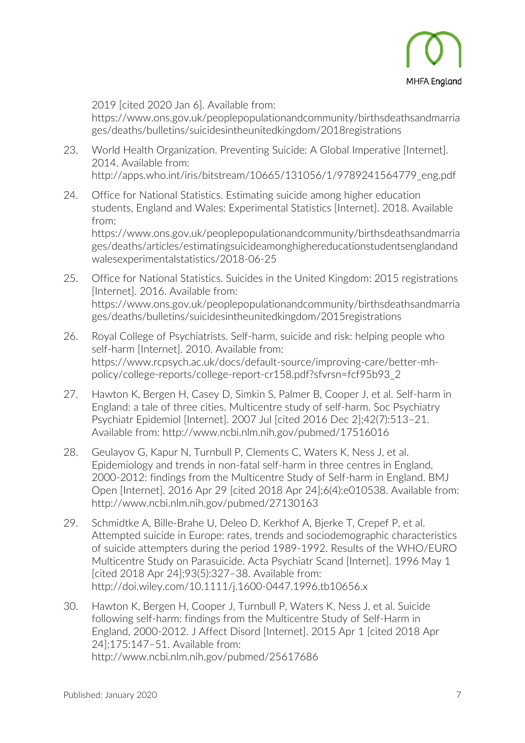

2019 [cited 2020 Jan 6]. Available from:

https://www.ons.gov.uk/peoplepopulationandcommunity/birthsdeathsandmarria ges/deaths/bulletins/suicidesintheunitedkingdom/2018registrations

- 23. World Health Organization. Preventing Suicide: A Global Imperative [Internet]. 2014. Available from: http://apps.who.int/iris/bitstream/10665/131056/1/9789241564779\_eng.pdf
- 24. Office for National Statistics. Estimating suicide among higher education students, England and Wales: Experimental Statistics [Internet]. 2018. Available from: https://www.ons.gov.uk/peoplepopulationandcommunity/birthsdeathsandmarria

ges/deaths/articles/estimatingsuicideamonghighereducationstudentsenglandand walesexperimentalstatistics/2018-06-25

- 25. Office for National Statistics. Suicides in the United Kingdom: 2015 registrations [Internet]. 2016. Available from: https://www.ons.gov.uk/peoplepopulationandcommunity/birthsdeathsandmarria ges/deaths/bulletins/suicidesintheunitedkingdom/2015registrations
- 26. Royal College of Psychiatrists. Self-harm, suicide and risk: helping people who self-harm [Internet]. 2010. Available from: https://www.rcpsych.ac.uk/docs/default-source/improving-care/better-mhpolicy/college-reports/college-report-cr158.pdf?sfvrsn=fcf95b93\_2
- 27. Hawton K, Bergen H, Casey D, Simkin S, Palmer B, Cooper J, et al. Self-harm in England: a tale of three cities. Multicentre study of self-harm. Soc Psychiatry Psychiatr Epidemiol [Internet]. 2007 Jul [cited 2016 Dec 2];42(7):513–21. Available from: http://www.ncbi.nlm.nih.gov/pubmed/17516016
- 28. Geulayov G, Kapur N, Turnbull P, Clements C, Waters K, Ness J, et al. Epidemiology and trends in non-fatal self-harm in three centres in England, 2000-2012: findings from the Multicentre Study of Self-harm in England. BMJ Open [Internet]. 2016 Apr 29 [cited 2018 Apr 24];6(4):e010538. Available from: http://www.ncbi.nlm.nih.gov/pubmed/27130163
- 29. Schmidtke A, Bille-Brahe U, Deleo D, Kerkhof A, Bjerke T, Crepef P, et al. Attempted suicide in Europe: rates, trends and sociodemographic characteristics of suicide attempters during the period 1989-1992. Results of the WHO/EURO Multicentre Study on Parasuicide. Acta Psychiatr Scand [Internet]. 1996 May 1 [cited 2018 Apr 24];93(5):327–38. Available from: http://doi.wiley.com/10.1111/j.1600-0447.1996.tb10656.x
- 30. Hawton K, Bergen H, Cooper J, Turnbull P, Waters K, Ness J, et al. Suicide following self-harm: findings from the Multicentre Study of Self-Harm in England, 2000-2012. J Affect Disord [Internet]. 2015 Apr 1 [cited 2018 Apr 24];175:147–51. Available from: http://www.ncbi.nlm.nih.gov/pubmed/25617686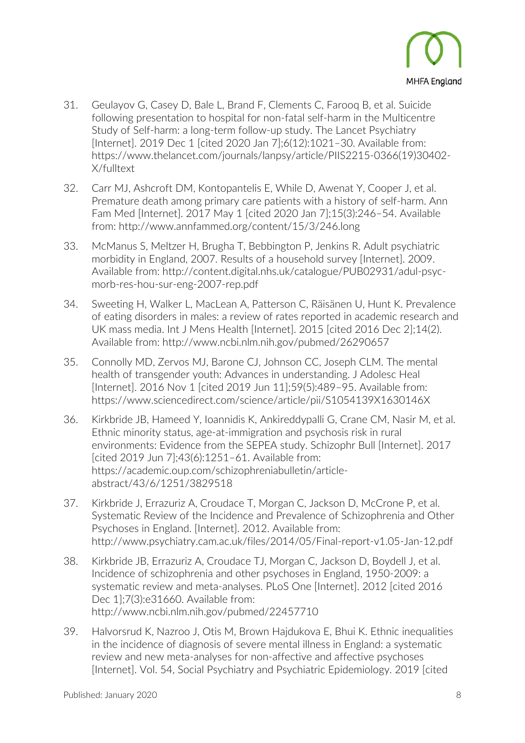

- 31. Geulayov G, Casey D, Bale L, Brand F, Clements C, Farooq B, et al. Suicide following presentation to hospital for non-fatal self-harm in the Multicentre Study of Self-harm: a long-term follow-up study. The Lancet Psychiatry [Internet]. 2019 Dec 1 [cited 2020 Jan 7];6(12):1021–30. Available from: https://www.thelancet.com/journals/lanpsy/article/PIIS2215-0366(19)30402- X/fulltext
- 32. Carr MJ, Ashcroft DM, Kontopantelis E, While D, Awenat Y, Cooper J, et al. Premature death among primary care patients with a history of self-harm. Ann Fam Med [Internet]. 2017 May 1 [cited 2020 Jan 7];15(3):246–54. Available from: http://www.annfammed.org/content/15/3/246.long
- 33. McManus S, Meltzer H, Brugha T, Bebbington P, Jenkins R. Adult psychiatric morbidity in England, 2007. Results of a household survey [Internet]. 2009. Available from: http://content.digital.nhs.uk/catalogue/PUB02931/adul-psycmorb-res-hou-sur-eng-2007-rep.pdf
- 34. Sweeting H, Walker L, MacLean A, Patterson C, Räisänen U, Hunt K. Prevalence of eating disorders in males: a review of rates reported in academic research and UK mass media. Int J Mens Health [Internet]. 2015 [cited 2016 Dec 2];14(2). Available from: http://www.ncbi.nlm.nih.gov/pubmed/26290657
- 35. Connolly MD, Zervos MJ, Barone CJ, Johnson CC, Joseph CLM. The mental health of transgender youth: Advances in understanding. J Adolesc Heal [Internet]. 2016 Nov 1 [cited 2019 Jun 11];59(5):489–95. Available from: https://www.sciencedirect.com/science/article/pii/S1054139X1630146X
- 36. Kirkbride JB, Hameed Y, Ioannidis K, Ankireddypalli G, Crane CM, Nasir M, et al. Ethnic minority status, age-at-immigration and psychosis risk in rural environments: Evidence from the SEPEA study. Schizophr Bull [Internet]. 2017 [cited 2019 Jun 7];43(6):1251–61. Available from: https://academic.oup.com/schizophreniabulletin/articleabstract/43/6/1251/3829518
- 37. Kirkbride J, Errazuriz A, Croudace T, Morgan C, Jackson D, McCrone P, et al. Systematic Review of the Incidence and Prevalence of Schizophrenia and Other Psychoses in England. [Internet]. 2012. Available from: http://www.psychiatry.cam.ac.uk/files/2014/05/Final-report-v1.05-Jan-12.pdf
- 38. Kirkbride JB, Errazuriz A, Croudace TJ, Morgan C, Jackson D, Boydell J, et al. Incidence of schizophrenia and other psychoses in England, 1950-2009: a systematic review and meta-analyses. PLoS One [Internet]. 2012 [cited 2016 Dec 1];7(3):e31660. Available from: http://www.ncbi.nlm.nih.gov/pubmed/22457710
- 39. Halvorsrud K, Nazroo J, Otis M, Brown Hajdukova E, Bhui K. Ethnic inequalities in the incidence of diagnosis of severe mental illness in England: a systematic review and new meta-analyses for non-affective and affective psychoses [Internet]. Vol. 54, Social Psychiatry and Psychiatric Epidemiology. 2019 [cited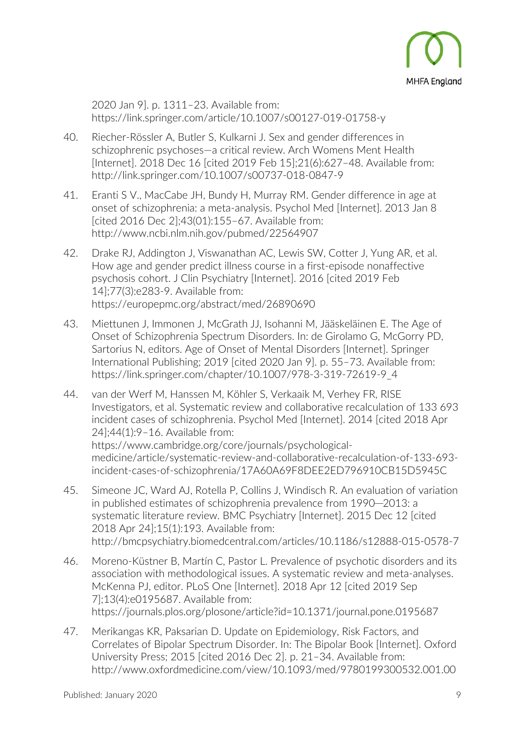

2020 Jan 9]. p. 1311–23. Available from: https://link.springer.com/article/10.1007/s00127-019-01758-y

- 40. Riecher-Rössler A, Butler S, Kulkarni J. Sex and gender differences in schizophrenic psychoses—a critical review. Arch Womens Ment Health [Internet]. 2018 Dec 16 [cited 2019 Feb 15];21(6):627–48. Available from: http://link.springer.com/10.1007/s00737-018-0847-9
- 41. Eranti S V., MacCabe JH, Bundy H, Murray RM. Gender difference in age at onset of schizophrenia: a meta-analysis. Psychol Med [Internet]. 2013 Jan 8 [cited 2016 Dec 2];43(01):155–67. Available from: http://www.ncbi.nlm.nih.gov/pubmed/22564907
- 42. Drake RJ, Addington J, Viswanathan AC, Lewis SW, Cotter J, Yung AR, et al. How age and gender predict illness course in a first-episode nonaffective psychosis cohort. J Clin Psychiatry [Internet]. 2016 [cited 2019 Feb 14];77(3):e283-9. Available from: https://europepmc.org/abstract/med/26890690
- 43. Miettunen J, Immonen J, McGrath JJ, Isohanni M, Jääskeläinen E. The Age of Onset of Schizophrenia Spectrum Disorders. In: de Girolamo G, McGorry PD, Sartorius N, editors. Age of Onset of Mental Disorders [Internet]. Springer International Publishing; 2019 [cited 2020 Jan 9]. p. 55–73. Available from: https://link.springer.com/chapter/10.1007/978-3-319-72619-9\_4
- 44. van der Werf M, Hanssen M, Köhler S, Verkaaik M, Verhey FR, RISE Investigators, et al. Systematic review and collaborative recalculation of 133 693 incident cases of schizophrenia. Psychol Med [Internet]. 2014 [cited 2018 Apr 24];44(1):9–16. Available from: https://www.cambridge.org/core/journals/psychologicalmedicine/article/systematic-review-and-collaborative-recalculation-of-133-693 incident-cases-of-schizophrenia/17A60A69F8DEE2ED796910CB15D5945C
- 45. Simeone JC, Ward AJ, Rotella P, Collins J, Windisch R. An evaluation of variation in published estimates of schizophrenia prevalence from 1990─2013: a systematic literature review. BMC Psychiatry [Internet]. 2015 Dec 12 [cited 2018 Apr 24];15(1):193. Available from: http://bmcpsychiatry.biomedcentral.com/articles/10.1186/s12888-015-0578-7
- 46. Moreno-Küstner B, Martín C, Pastor L. Prevalence of psychotic disorders and its association with methodological issues. A systematic review and meta-analyses. McKenna PJ, editor. PLoS One [Internet]. 2018 Apr 12 [cited 2019 Sep 7];13(4):e0195687. Available from: https://journals.plos.org/plosone/article?id=10.1371/journal.pone.0195687
- 47. Merikangas KR, Paksarian D. Update on Epidemiology, Risk Factors, and Correlates of Bipolar Spectrum Disorder. In: The Bipolar Book [Internet]. Oxford University Press; 2015 [cited 2016 Dec 2]. p. 21–34. Available from: http://www.oxfordmedicine.com/view/10.1093/med/9780199300532.001.00